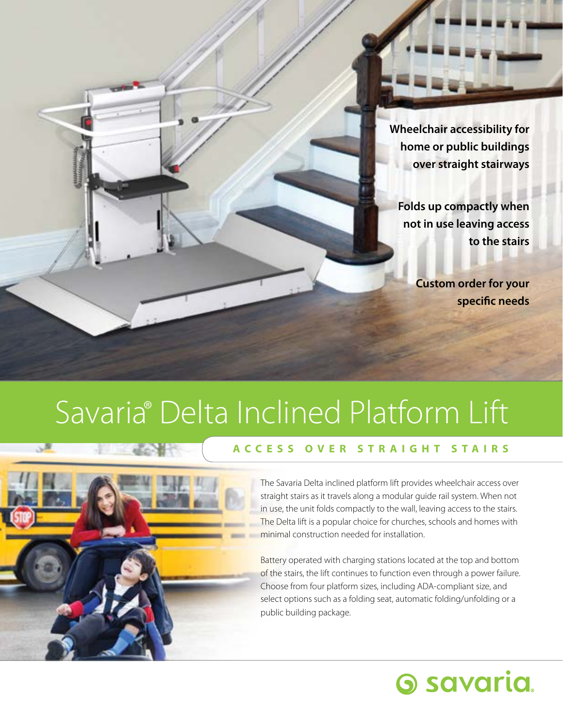**Wheelchair accessibility for home or public buildings over straight stairways**

**Folds up compactly when not in use leaving access to the stairs**

> **Custom order for your specific needs**

**Savaria.** 

## Savaria<sup>®</sup> Delta Inclined Platform Lift ®



### **ACCESS OVER STRAIGHT STAIRS**

The Savaria Delta inclined platform lift provides wheelchair access over straight stairs as it travels along a modular guide rail system. When not in use, the unit folds compactly to the wall, leaving access to the stairs. The Delta lift is a popular choice for churches, schools and homes with minimal construction needed for installation.

Battery operated with charging stations located at the top and bottom of the stairs, the lift continues to function even through a power failure. Choose from four platform sizes, including ADA-compliant size, and select options such as a folding seat, automatic folding/unfolding or a public building package.